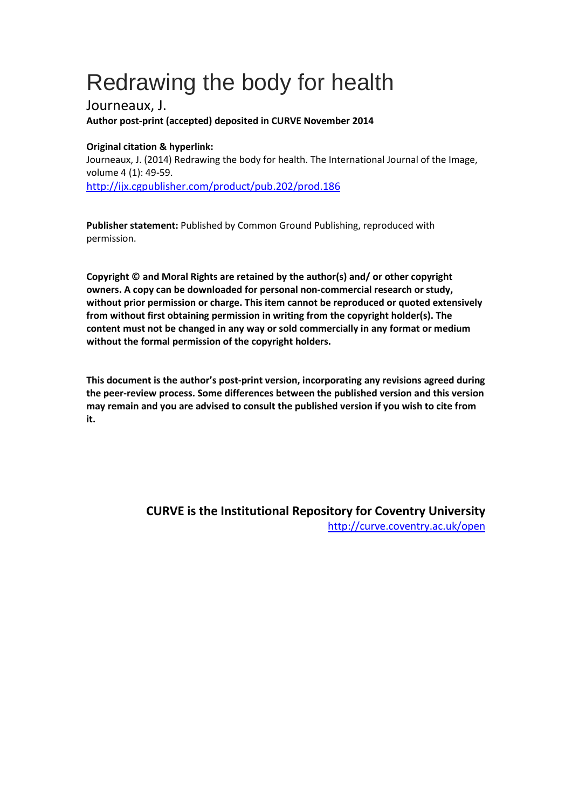# Redrawing the body for health

Journeaux, J. **Author post-print (accepted) deposited in CURVE November 2014**

### **Original citation & hyperlink:**

Journeaux, J. (2014) Redrawing the body for health. The International Journal of the Image, volume 4 (1): 49-59. <http://ijx.cgpublisher.com/product/pub.202/prod.186>

**Publisher statement:** Published by Common Ground Publishing, reproduced with permission.

**Copyright © and Moral Rights are retained by the author(s) and/ or other copyright owners. A copy can be downloaded for personal non-commercial research or study, without prior permission or charge. This item cannot be reproduced or quoted extensively from without first obtaining permission in writing from the copyright holder(s). The content must not be changed in any way or sold commercially in any format or medium without the formal permission of the copyright holders.** 

**This document is the author's post-print version, incorporating any revisions agreed during the peer-review process. Some differences between the published version and this version may remain and you are advised to consult the published version if you wish to cite from it.** 

> **CURVE is the Institutional Repository for Coventry University** <http://curve.coventry.ac.uk/open>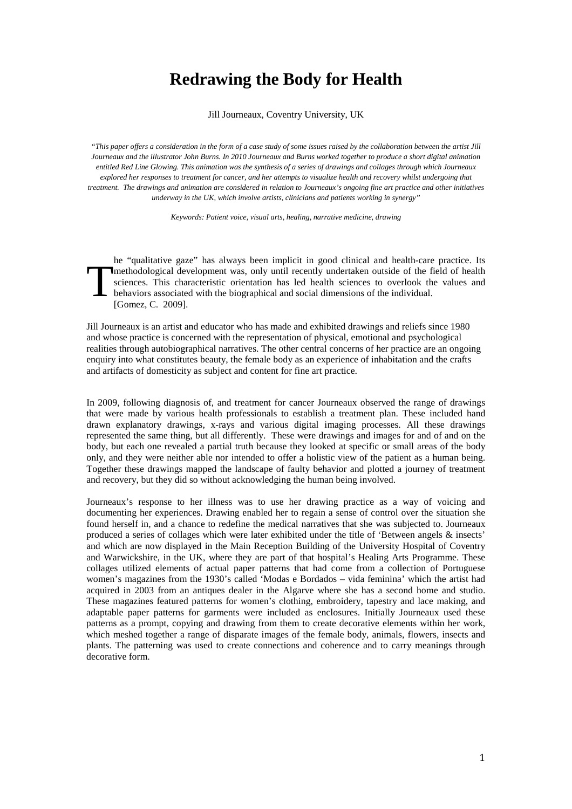## **Redrawing the Body for Health**

Jill Journeaux, Coventry University, UK

*"This paper offers a consideration in the form of a case study of some issues raised by the collaboration between the artist Jill Journeaux and the illustrator John Burns. In 2010 Journeaux and Burns worked together to produce a short digital animation entitled Red Line Glowing. This animation was the synthesis of a series of drawings and collages through which Journeaux explored her responses to treatment for cancer, and her attempts to visualize health and recovery whilst undergoing that treatment. The drawings and animation are considered in relation to Journeaux's ongoing fine art practice and other initiatives underway in the UK, which involve artists, clinicians and patients working in synergy"*

*Keywords: Patient voice, visual arts, healing, narrative medicine, drawing*

he "qualitative gaze" has always been implicit in good clinical and health-care practice. Its methodological development was, only until recently undertaken outside of the field of health sciences. This characteristic orientation has led health sciences to overlook the values and behaviors associated with the biographical and social dimensions of the individual. [Gomez, C. 2009]. **T** 

Jill Journeaux is an artist and educator who has made and exhibited drawings and reliefs since 1980 and whose practice is concerned with the representation of physical, emotional and psychological realities through autobiographical narratives. The other central concerns of her practice are an ongoing enquiry into what constitutes beauty, the female body as an experience of inhabitation and the crafts and artifacts of domesticity as subject and content for fine art practice.

In 2009, following diagnosis of, and treatment for cancer Journeaux observed the range of drawings that were made by various health professionals to establish a treatment plan. These included hand drawn explanatory drawings, x-rays and various digital imaging processes. All these drawings represented the same thing, but all differently. These were drawings and images for and of and on the body, but each one revealed a partial truth because they looked at specific or small areas of the body only, and they were neither able nor intended to offer a holistic view of the patient as a human being. Together these drawings mapped the landscape of faulty behavior and plotted a journey of treatment and recovery, but they did so without acknowledging the human being involved.

Journeaux's response to her illness was to use her drawing practice as a way of voicing and documenting her experiences. Drawing enabled her to regain a sense of control over the situation she found herself in, and a chance to redefine the medical narratives that she was subjected to. Journeaux produced a series of collages which were later exhibited under the title of 'Between angels & insects' and which are now displayed in the Main Reception Building of the University Hospital of Coventry and Warwickshire, in the UK, where they are part of that hospital's Healing Arts Programme. These collages utilized elements of actual paper patterns that had come from a collection of Portuguese women's magazines from the 1930's called 'Modas e Bordados – vida feminina' which the artist had acquired in 2003 from an antiques dealer in the Algarve where she has a second home and studio. These magazines featured patterns for women's clothing, embroidery, tapestry and lace making, and adaptable paper patterns for garments were included as enclosures. Initially Journeaux used these patterns as a prompt, copying and drawing from them to create decorative elements within her work, which meshed together a range of disparate images of the female body, animals, flowers, insects and plants. The patterning was used to create connections and coherence and to carry meanings through decorative form.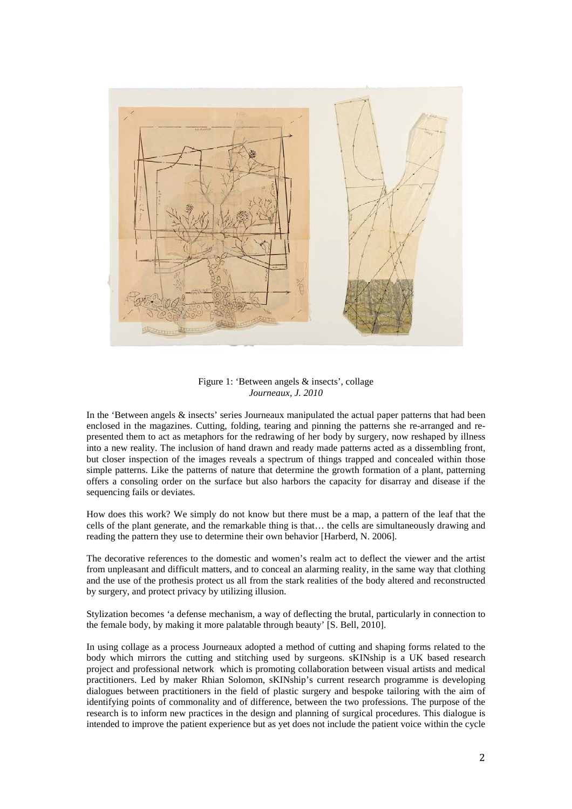

Figure 1: 'Between angels & insects', collage *Journeaux, J. 2010*

In the 'Between angels & insects' series Journeaux manipulated the actual paper patterns that had been enclosed in the magazines. Cutting, folding, tearing and pinning the patterns she re-arranged and represented them to act as metaphors for the redrawing of her body by surgery, now reshaped by illness into a new reality. The inclusion of hand drawn and ready made patterns acted as a dissembling front, but closer inspection of the images reveals a spectrum of things trapped and concealed within those simple patterns. Like the patterns of nature that determine the growth formation of a plant, patterning offers a consoling order on the surface but also harbors the capacity for disarray and disease if the sequencing fails or deviates.

How does this work? We simply do not know but there must be a map, a pattern of the leaf that the cells of the plant generate, and the remarkable thing is that… the cells are simultaneously drawing and reading the pattern they use to determine their own behavior [Harberd, N. 2006].

The decorative references to the domestic and women's realm act to deflect the viewer and the artist from unpleasant and difficult matters, and to conceal an alarming reality, in the same way that clothing and the use of the prothesis protect us all from the stark realities of the body altered and reconstructed by surgery, and protect privacy by utilizing illusion.

Stylization becomes 'a defense mechanism, a way of deflecting the brutal, particularly in connection to the female body, by making it more palatable through beauty' [S. Bell, 2010].

In using collage as a process Journeaux adopted a method of cutting and shaping forms related to the body which mirrors the cutting and stitching used by surgeons. sKINship is a UK based research project and professional network which is promoting collaboration between visual artists and medical practitioners. Led by maker Rhian Solomon, sKINship's current research programme is developing dialogues between practitioners in the field of plastic surgery and bespoke tailoring with the aim of identifying points of commonality and of difference, between the two professions. The purpose of the research is to inform new practices in the design and planning of surgical procedures. This dialogue is intended to improve the patient experience but as yet does not include the patient voice within the cycle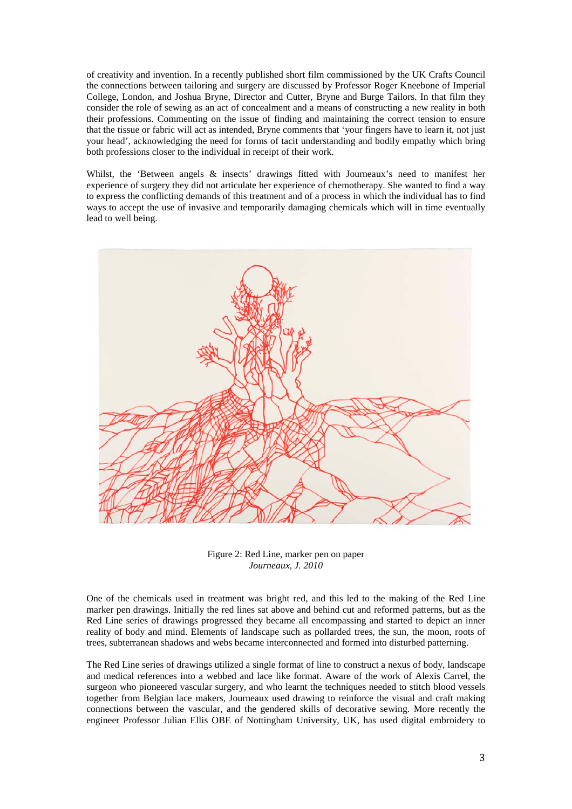of creativity and invention. In a recently published short film commissioned by the UK Crafts Council the connections between tailoring and surgery are discussed by Professor Roger Kneebone of Imperial College, London, and Joshua Bryne, Director and Cutter, Bryne and Burge Tailors. In that film they consider the role of sewing as an act of concealment and a means of constructing a new reality in both their professions. Commenting on the issue of finding and maintaining the correct tension to ensure that the tissue or fabric will act as intended, Bryne comments that 'your fingers have to learn it, not just your head', acknowledging the need for forms of tacit understanding and bodily empathy which bring both professions closer to the individual in receipt of their work.

Whilst, the 'Between angels & insects' drawings fitted with Journeaux's need to manifest her experience of surgery they did not articulate her experience of chemotherapy. She wanted to find a way to express the conflicting demands of this treatment and of a process in which the individual has to find ways to accept the use of invasive and temporarily damaging chemicals which will in time eventually lead to well being.



Figure 2: Red Line, marker pen on paper *Journeaux, J. 2010*

One of the chemicals used in treatment was bright red, and this led to the making of the Red Line marker pen drawings. Initially the red lines sat above and behind cut and reformed patterns, but as the Red Line series of drawings progressed they became all encompassing and started to depict an inner reality of body and mind. Elements of landscape such as pollarded trees, the sun, the moon, roots of trees, subterranean shadows and webs became interconnected and formed into disturbed patterning.

The Red Line series of drawings utilized a single format of line to construct a nexus of body, landscape and medical references into a webbed and lace like format. Aware of the work of Alexis Carrel, the surgeon who pioneered vascular surgery, and who learnt the techniques needed to stitch blood vessels together from Belgian lace makers, Journeaux used drawing to reinforce the visual and craft making connections between the vascular, and the gendered skills of decorative sewing. More recently the engineer Professor Julian Ellis OBE of Nottingham University, UK, has used digital embroidery to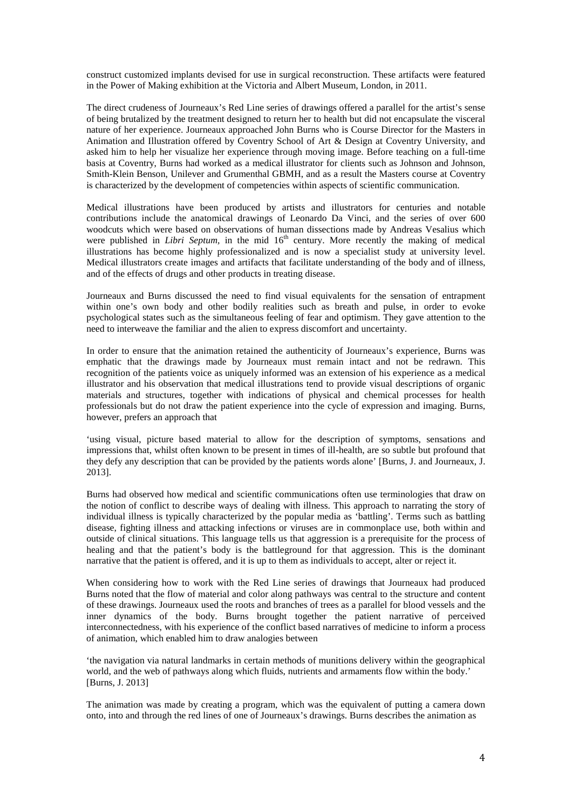construct customized implants devised for use in surgical reconstruction. These artifacts were featured in the Power of Making exhibition at the Victoria and Albert Museum, London, in 2011.

The direct crudeness of Journeaux's Red Line series of drawings offered a parallel for the artist's sense of being brutalized by the treatment designed to return her to health but did not encapsulate the visceral nature of her experience. Journeaux approached John Burns who is Course Director for the Masters in Animation and Illustration offered by Coventry School of Art & Design at Coventry University, and asked him to help her visualize her experience through moving image. Before teaching on a full-time basis at Coventry, Burns had worked as a medical illustrator for clients such as Johnson and Johnson, Smith-Klein Benson, Unilever and Grumenthal GBMH, and as a result the Masters course at Coventry is characterized by the development of competencies within aspects of scientific communication.

Medical illustrations have been produced by artists and illustrators for centuries and notable contributions include the anatomical drawings of Leonardo Da Vinci, and the series of over 600 woodcuts which were based on observations of human dissections made by Andreas Vesalius which were published in *Libri Septum*, in the mid 16<sup>th</sup> century. More recently the making of medical illustrations has become highly professionalized and is now a specialist study at university level. Medical illustrators create images and artifacts that facilitate understanding of the body and of illness, and of the effects of drugs and other products in treating disease.

Journeaux and Burns discussed the need to find visual equivalents for the sensation of entrapment within one's own body and other bodily realities such as breath and pulse, in order to evoke psychological states such as the simultaneous feeling of fear and optimism. They gave attention to the need to interweave the familiar and the alien to express discomfort and uncertainty.

In order to ensure that the animation retained the authenticity of Journeaux's experience, Burns was emphatic that the drawings made by Journeaux must remain intact and not be redrawn. This recognition of the patients voice as uniquely informed was an extension of his experience as a medical illustrator and his observation that medical illustrations tend to provide visual descriptions of organic materials and structures, together with indications of physical and chemical processes for health professionals but do not draw the patient experience into the cycle of expression and imaging. Burns, however, prefers an approach that

'using visual, picture based material to allow for the description of symptoms, sensations and impressions that, whilst often known to be present in times of ill-health, are so subtle but profound that they defy any description that can be provided by the patients words alone' [Burns, J. and Journeaux, J. 2013].

Burns had observed how medical and scientific communications often use terminologies that draw on the notion of conflict to describe ways of dealing with illness. This approach to narrating the story of individual illness is typically characterized by the popular media as 'battling'. Terms such as battling disease, fighting illness and attacking infections or viruses are in commonplace use, both within and outside of clinical situations. This language tells us that aggression is a prerequisite for the process of healing and that the patient's body is the battleground for that aggression. This is the dominant narrative that the patient is offered, and it is up to them as individuals to accept, alter or reject it.

When considering how to work with the Red Line series of drawings that Journeaux had produced Burns noted that the flow of material and color along pathways was central to the structure and content of these drawings. Journeaux used the roots and branches of trees as a parallel for blood vessels and the inner dynamics of the body. Burns brought together the patient narrative of perceived interconnectedness, with his experience of the conflict based narratives of medicine to inform a process of animation, which enabled him to draw analogies between

'the navigation via natural landmarks in certain methods of munitions delivery within the geographical world, and the web of pathways along which fluids, nutrients and armaments flow within the body.' [Burns, J. 2013]

The animation was made by creating a program, which was the equivalent of putting a camera down onto, into and through the red lines of one of Journeaux's drawings. Burns describes the animation as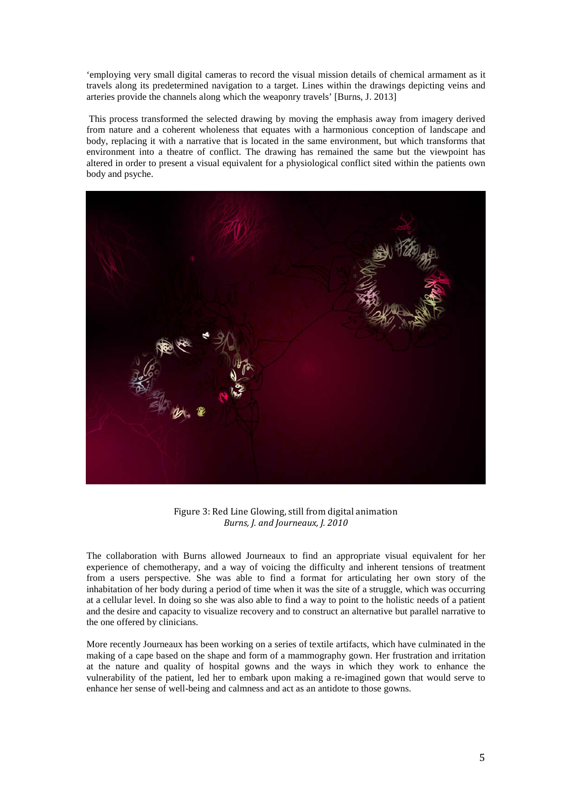'employing very small digital cameras to record the visual mission details of chemical armament as it travels along its predetermined navigation to a target. Lines within the drawings depicting veins and arteries provide the channels along which the weaponry travels' [Burns, J. 2013]

This process transformed the selected drawing by moving the emphasis away from imagery derived from nature and a coherent wholeness that equates with a harmonious conception of landscape and body, replacing it with a narrative that is located in the same environment, but which transforms that environment into a theatre of conflict. The drawing has remained the same but the viewpoint has altered in order to present a visual equivalent for a physiological conflict sited within the patients own body and psyche.



Figure 3: Red Line Glowing, still from digital animation *Burns, J. and Journeaux, J. 2010*

The collaboration with Burns allowed Journeaux to find an appropriate visual equivalent for her experience of chemotherapy, and a way of voicing the difficulty and inherent tensions of treatment from a users perspective. She was able to find a format for articulating her own story of the inhabitation of her body during a period of time when it was the site of a struggle, which was occurring at a cellular level. In doing so she was also able to find a way to point to the holistic needs of a patient and the desire and capacity to visualize recovery and to construct an alternative but parallel narrative to the one offered by clinicians.

More recently Journeaux has been working on a series of textile artifacts, which have culminated in the making of a cape based on the shape and form of a mammography gown. Her frustration and irritation at the nature and quality of hospital gowns and the ways in which they work to enhance the vulnerability of the patient, led her to embark upon making a re-imagined gown that would serve to enhance her sense of well-being and calmness and act as an antidote to those gowns.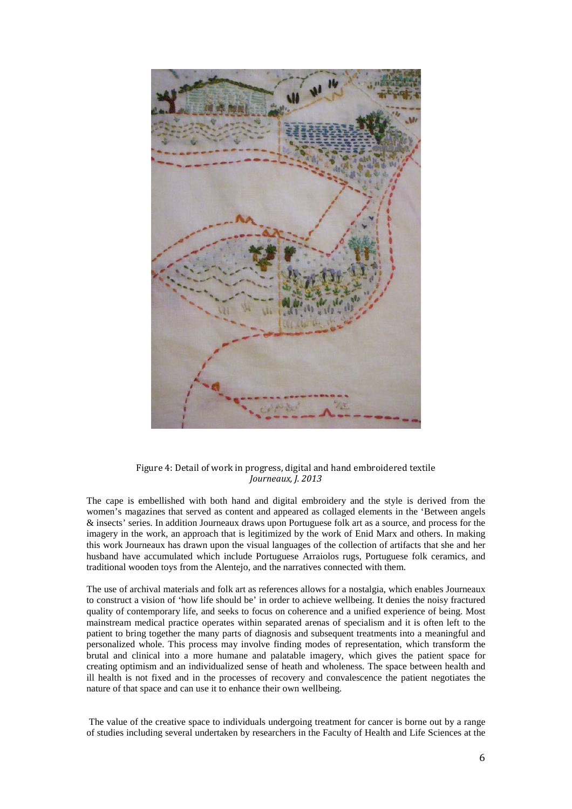

### Figure 4: Detail of work in progress, digital and hand embroidered textile *Journeaux, J. 2013*

The cape is embellished with both hand and digital embroidery and the style is derived from the women's magazines that served as content and appeared as collaged elements in the 'Between angels & insects' series. In addition Journeaux draws upon Portuguese folk art as a source, and process for the imagery in the work, an approach that is legitimized by the work of Enid Marx and others. In making this work Journeaux has drawn upon the visual languages of the collection of artifacts that she and her husband have accumulated which include Portuguese Arraiolos rugs, Portuguese folk ceramics, and traditional wooden toys from the Alentejo, and the narratives connected with them.

The use of archival materials and folk art as references allows for a nostalgia, which enables Journeaux to construct a vision of 'how life should be' in order to achieve wellbeing. It denies the noisy fractured quality of contemporary life, and seeks to focus on coherence and a unified experience of being. Most mainstream medical practice operates within separated arenas of specialism and it is often left to the patient to bring together the many parts of diagnosis and subsequent treatments into a meaningful and personalized whole. This process may involve finding modes of representation, which transform the brutal and clinical into a more humane and palatable imagery, which gives the patient space for creating optimism and an individualized sense of heath and wholeness. The space between health and ill health is not fixed and in the processes of recovery and convalescence the patient negotiates the nature of that space and can use it to enhance their own wellbeing.

The value of the creative space to individuals undergoing treatment for cancer is borne out by a range of studies including several undertaken by researchers in the Faculty of Health and Life Sciences at the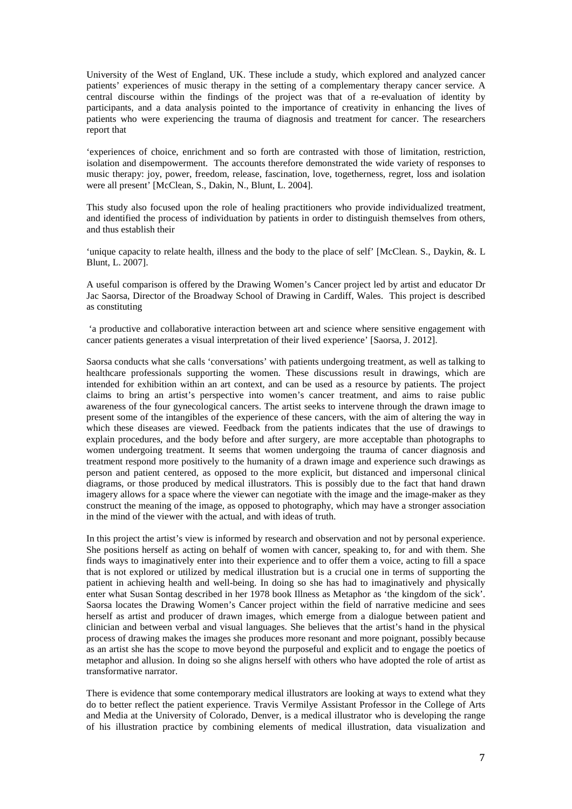University of the West of England, UK. These include a study, which explored and analyzed cancer patients' experiences of music therapy in the setting of a complementary therapy cancer service. A central discourse within the findings of the project was that of a re-evaluation of identity by participants, and a data analysis pointed to the importance of creativity in enhancing the lives of patients who were experiencing the trauma of diagnosis and treatment for cancer. The researchers report that

'experiences of choice, enrichment and so forth are contrasted with those of limitation, restriction, isolation and disempowerment. The accounts therefore demonstrated the wide variety of responses to music therapy: joy, power, freedom, release, fascination, love, togetherness, regret, loss and isolation were all present' [McClean, S., Dakin, N., Blunt, L. 2004].

This study also focused upon the role of healing practitioners who provide individualized treatment, and identified the process of individuation by patients in order to distinguish themselves from others, and thus establish their

'unique capacity to relate health, illness and the body to the place of self' [McClean. S., Daykin, &. L Blunt, L. 2007].

A useful comparison is offered by the Drawing Women's Cancer project led by artist and educator Dr Jac Saorsa, Director of the Broadway School of Drawing in Cardiff, Wales. This project is described as constituting

'a productive and collaborative interaction between art and science where sensitive engagement with cancer patients generates a visual interpretation of their lived experience' [Saorsa, J. 2012].

Saorsa conducts what she calls 'conversations' with patients undergoing treatment, as well as talking to healthcare professionals supporting the women. These discussions result in drawings, which are intended for exhibition within an art context, and can be used as a resource by patients. The project claims to bring an artist's perspective into women's cancer treatment, and aims to raise public awareness of the four gynecological cancers. The artist seeks to intervene through the drawn image to present some of the intangibles of the experience of these cancers, with the aim of altering the way in which these diseases are viewed. Feedback from the patients indicates that the use of drawings to explain procedures, and the body before and after surgery, are more acceptable than photographs to women undergoing treatment. It seems that women undergoing the trauma of cancer diagnosis and treatment respond more positively to the humanity of a drawn image and experience such drawings as person and patient centered, as opposed to the more explicit, but distanced and impersonal clinical diagrams, or those produced by medical illustrators. This is possibly due to the fact that hand drawn imagery allows for a space where the viewer can negotiate with the image and the image-maker as they construct the meaning of the image, as opposed to photography, which may have a stronger association in the mind of the viewer with the actual, and with ideas of truth.

In this project the artist's view is informed by research and observation and not by personal experience. She positions herself as acting on behalf of women with cancer, speaking to, for and with them. She finds ways to imaginatively enter into their experience and to offer them a voice, acting to fill a space that is not explored or utilized by medical illustration but is a crucial one in terms of supporting the patient in achieving health and well-being. In doing so she has had to imaginatively and physically enter what Susan Sontag described in her 1978 book Illness as Metaphor as 'the kingdom of the sick'. Saorsa locates the Drawing Women's Cancer project within the field of narrative medicine and sees herself as artist and producer of drawn images, which emerge from a dialogue between patient and clinician and between verbal and visual languages. She believes that the artist's hand in the physical process of drawing makes the images she produces more resonant and more poignant, possibly because as an artist she has the scope to move beyond the purposeful and explicit and to engage the poetics of metaphor and allusion. In doing so she aligns herself with others who have adopted the role of artist as transformative narrator.

There is evidence that some contemporary medical illustrators are looking at ways to extend what they do to better reflect the patient experience. Travis Vermilye Assistant Professor in the College of Arts and Media at the University of Colorado, Denver, is a medical illustrator who is developing the range of his illustration practice by combining elements of medical illustration, data visualization and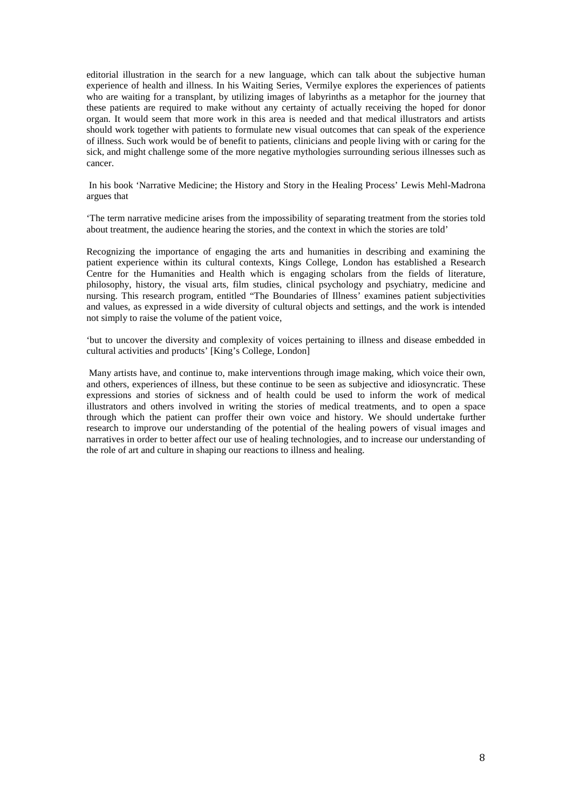editorial illustration in the search for a new language, which can talk about the subjective human experience of health and illness. In his Waiting Series*,* Vermilye explores the experiences of patients who are waiting for a transplant, by utilizing images of labyrinths as a metaphor for the journey that these patients are required to make without any certainty of actually receiving the hoped for donor organ. It would seem that more work in this area is needed and that medical illustrators and artists should work together with patients to formulate new visual outcomes that can speak of the experience of illness. Such work would be of benefit to patients, clinicians and people living with or caring for the sick, and might challenge some of the more negative mythologies surrounding serious illnesses such as cancer.

In his book 'Narrative Medicine; the History and Story in the Healing Process' Lewis Mehl-Madrona argues that

'The term narrative medicine arises from the impossibility of separating treatment from the stories told about treatment, the audience hearing the stories, and the context in which the stories are told'

Recognizing the importance of engaging the arts and humanities in describing and examining the patient experience within its cultural contexts, Kings College, London has established a Research Centre for the Humanities and Health which is engaging scholars from the fields of literature, philosophy, history, the visual arts, film studies, clinical psychology and psychiatry, medicine and nursing. This research program, entitled "The Boundaries of Illness' examines patient subjectivities and values, as expressed in a wide diversity of cultural objects and settings, and the work is intended not simply to raise the volume of the patient voice,

'but to uncover the diversity and complexity of voices pertaining to illness and disease embedded in cultural activities and products' [King's College, London]

Many artists have, and continue to, make interventions through image making, which voice their own, and others, experiences of illness, but these continue to be seen as subjective and idiosyncratic. These expressions and stories of sickness and of health could be used to inform the work of medical illustrators and others involved in writing the stories of medical treatments, and to open a space through which the patient can proffer their own voice and history. We should undertake further research to improve our understanding of the potential of the healing powers of visual images and narratives in order to better affect our use of healing technologies, and to increase our understanding of the role of art and culture in shaping our reactions to illness and healing.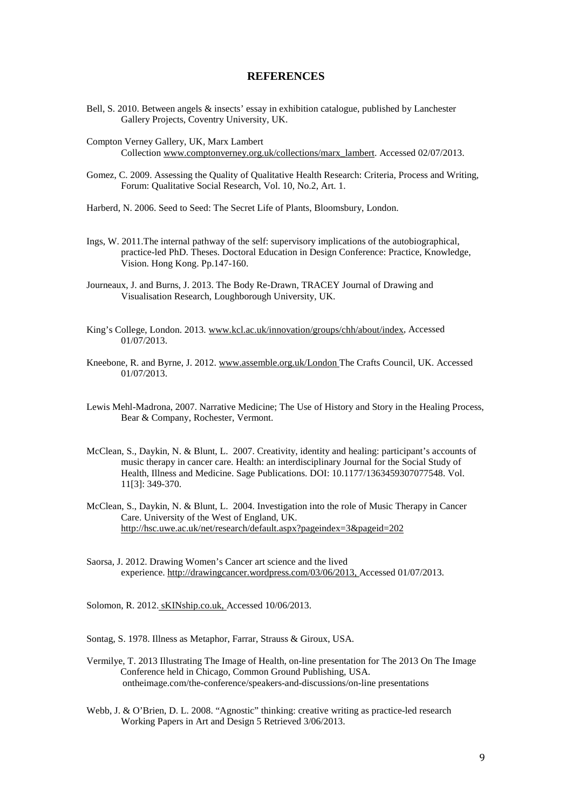#### **REFERENCES**

- Bell, S. 2010. Between angels & insects' essay in exhibition catalogue, published by Lanchester Gallery Projects, Coventry University, UK.
- Compton Verney Gallery, UK, Marx Lambert Collection [www.comptonverney.org.uk/collections/marx\\_lambert.](http://www.comptonverney.org.uk/collections/marx_lambert) Accessed 02/07/2013.
- Gomez, C. 2009. Assessing the Quality of Qualitative Health Research: Criteria, Process and Writing, Forum: Qualitative Social Research, Vol. 10, No.2, Art. 1.
- Harberd, N. 2006. Seed to Seed: The Secret Life of Plants, Bloomsbury, London.
- Ings, W. 2011.The internal pathway of the self: supervisory implications of the autobiographical, practice-led PhD. Theses. Doctoral Education in Design Conference: Practice, Knowledge, Vision. Hong Kong. Pp.147-160.
- Journeaux, J. and Burns, J. 2013. The Body Re-Drawn, TRACEY Journal of Drawing and Visualisation Research, Loughborough University, UK.
- King's College, London. 2013. [www.kcl.ac.uk/innovation/groups/chh/about/index,](http://www.kcl.ac.uk/innovation/groups/chh/about/index) Accessed 01/07/2013.
- Kneebone, R. and Byrne, J. 2012[. www.assemble.org.uk/London](http://www.assemble.org.uk/London) The Crafts Council, UK. Accessed 01/07/2013.
- Lewis Mehl-Madrona, 2007. Narrative Medicine; The Use of History and Story in the Healing Process, Bear & Company, Rochester, Vermont.
- McClean, S., Daykin, N. & Blunt, L. 2007. Creativity, identity and healing: participant's accounts of music therapy in cancer care. Health: an interdisciplinary Journal for the Social Study of Health, Illness and Medicine. Sage Publications. DOI: 10.1177/1363459307077548. Vol. 11[3]: 349-370.
- McClean, S., Daykin, N. & Blunt, L. 2004. Investigation into the role of Music Therapy in Cancer Care. University of the West of England, UK. <http://hsc.uwe.ac.uk/net/research/default.aspx?pageindex=3&pageid=202>
- Saorsa, J. 2012. Drawing Women's Cancer art science and the lived experience. [http://drawingcancer.wordpress.com/03/06/2013,](http://drawingcancer.wordpress.com/03/06/2013) Accessed 01/07/2013.

Solomon, R. 2012. sKINship.co.uk, Accessed 10/06/2013.

Sontag, S. 1978. Illness as Metaphor, Farrar, Strauss & Giroux, USA.

- Vermilye, T. 2013 Illustrating The Image of Health, on-line presentation for The 2013 On The Image Conference held in Chicago, Common Ground Publishing, USA. ontheimage.com/the-conference/speakers-and-discussions/on-line presentations
- Webb, J. & O'Brien, D. L. 2008. "Agnostic" thinking: creative writing as practice-led research Working Papers in Art and Design 5 Retrieved 3/06/2013.